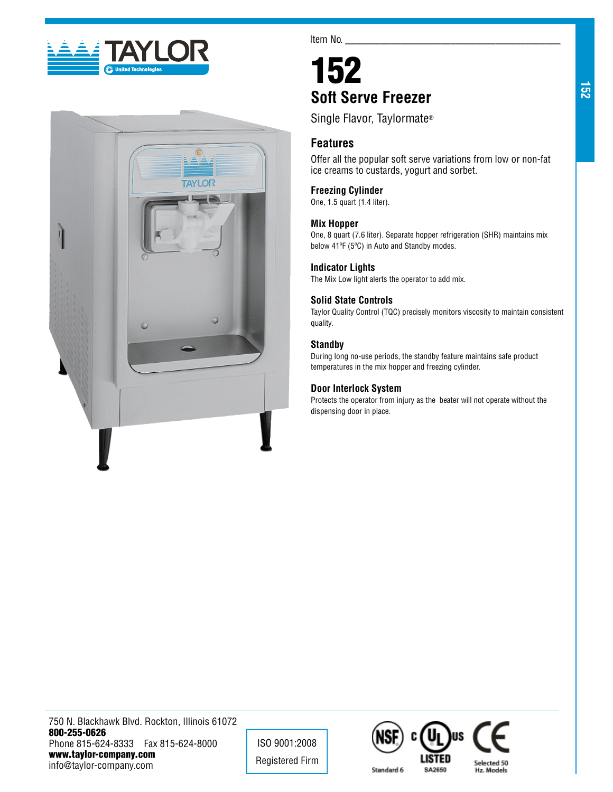



Item No.

# 152 **Soft Serve Freezer**

Single Flavor, Taylormate®

## **Features**

Offer all the popular soft serve variations from low or non-fat ice creams to custards, yogurt and sorbet.

## **Freezing Cylinder**

One, 1.5 quart (1.4 liter).

## **Mix Hopper**

One, 8 quart (7.6 liter). Separate hopper refrigeration (SHR) maintains mix below 41ºF (5ºC) in Auto and Standby modes.

## **Indicator Lights**

The Mix Low light alerts the operator to add mix.

## **Solid State Controls**

Taylor Quality Control (TQC) precisely monitors viscosity to maintain consistent quality.

## **Standby**

During long no-use periods, the standby feature maintains safe product temperatures in the mix hopper and freezing cylinder.

## **Door Interlock System**

Protects the operator from injury as the beater will not operate without the dispensing door in place.

750 N. Blackhawk Blvd. Rockton, Illinois 61072 800-255-0626 Phone 815-624-8333 Fax 815-624-8000 www.taylor-company.com info@taylor-company.com

ISO 9001:2008 Registered Firm